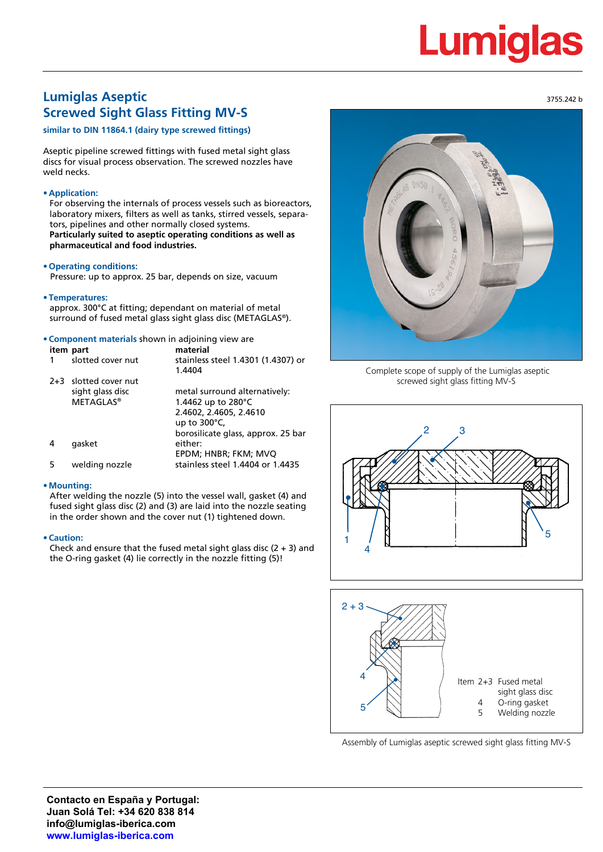## **Lumiglas**

### **Lumiglas Aseptic Screwed Sight Glass Fitting MV-S**

**similar to DIN 11864.1 (dairy type screwed fittings)**

Aseptic pipeline screwed fittings with fused metal sight glass discs for visual process observation. The screwed nozzles have weld necks.

#### **• Application:**

For observing the internals of process vessels such as bioreactors, laboratory mixers, filters as well as tanks, stirred vessels, separators, pipelines and other normally closed systems. **Particularly suited to aseptic operating conditions as well as pharmaceutical and food industries.**

#### **• Operating conditions:**

Pressure: up to approx. 25 bar, depends on size, vacuum

**• Temperatures:**

approx. 300°C at fitting; dependant on material of metal surround of fused metal glass sight glass disc (METAGLAS®).

**• Component materials** shown in adjoining view are

| material<br>item part |                                                               |                                                                                                                                               |  |  |  |
|-----------------------|---------------------------------------------------------------|-----------------------------------------------------------------------------------------------------------------------------------------------|--|--|--|
|                       | slotted cover nut                                             | stainless steel 1.4301 (1.4307) or<br>1.4404                                                                                                  |  |  |  |
|                       | 2+3 slotted cover nut<br>sight glass disc<br><b>METAGLAS®</b> | metal surround alternatively:<br>1.4462 up to 280°C<br>2.4602, 2.4605, 2.4610<br>up to $300^{\circ}$ C,<br>borosilicate glass, approx. 25 bar |  |  |  |
|                       | qasket                                                        | either:<br>EPDM; HNBR; FKM; MVQ                                                                                                               |  |  |  |
| 5                     | welding nozzle                                                | stainless steel 1.4404 or 1.4435                                                                                                              |  |  |  |

#### **• Mounting:**

After welding the nozzle (5) into the vessel wall, gasket (4) and fused sight glass disc (2) and (3) are laid into the nozzle seating in the order shown and the cover nut (1) tightened down.

#### **• Caution:**

Check and ensure that the fused metal sight glass disc  $(2 + 3)$  and the O-ring gasket (4) lie correctly in the nozzle fitting (5)!



 Complete scope of supply of the Lumiglas aseptic screwed sight glass fitting MV-S





Assembly of Lumiglas aseptic screwed sight glass fitting MV-S

3755.242 b